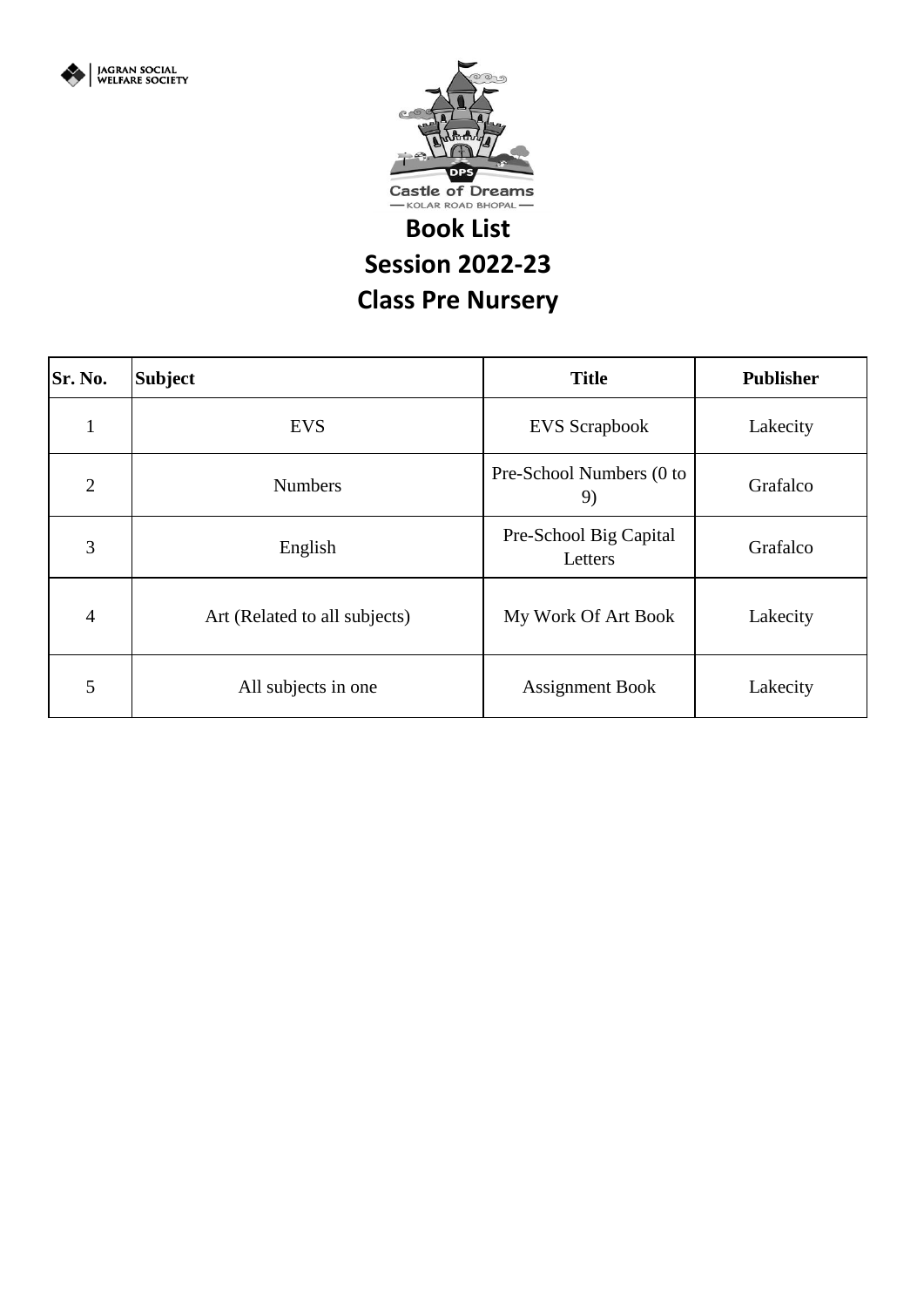



## **Book List**

**Session 2022-23**

**Class Pre Nursery** 

| Sr. No.        | <b>Subject</b>                | <b>Title</b>                      | <b>Publisher</b> |
|----------------|-------------------------------|-----------------------------------|------------------|
| $\bf{l}$       | <b>EVS</b>                    | <b>EVS</b> Scrapbook              | Lakecity         |
| $\overline{2}$ | <b>Numbers</b>                | Pre-School Numbers (0 to<br>9)    | Grafalco         |
| 3              | English                       | Pre-School Big Capital<br>Letters | Grafalco         |
| $\overline{4}$ | Art (Related to all subjects) | My Work Of Art Book               | Lakecity         |
| 5              | All subjects in one           | <b>Assignment Book</b>            | Lakecity         |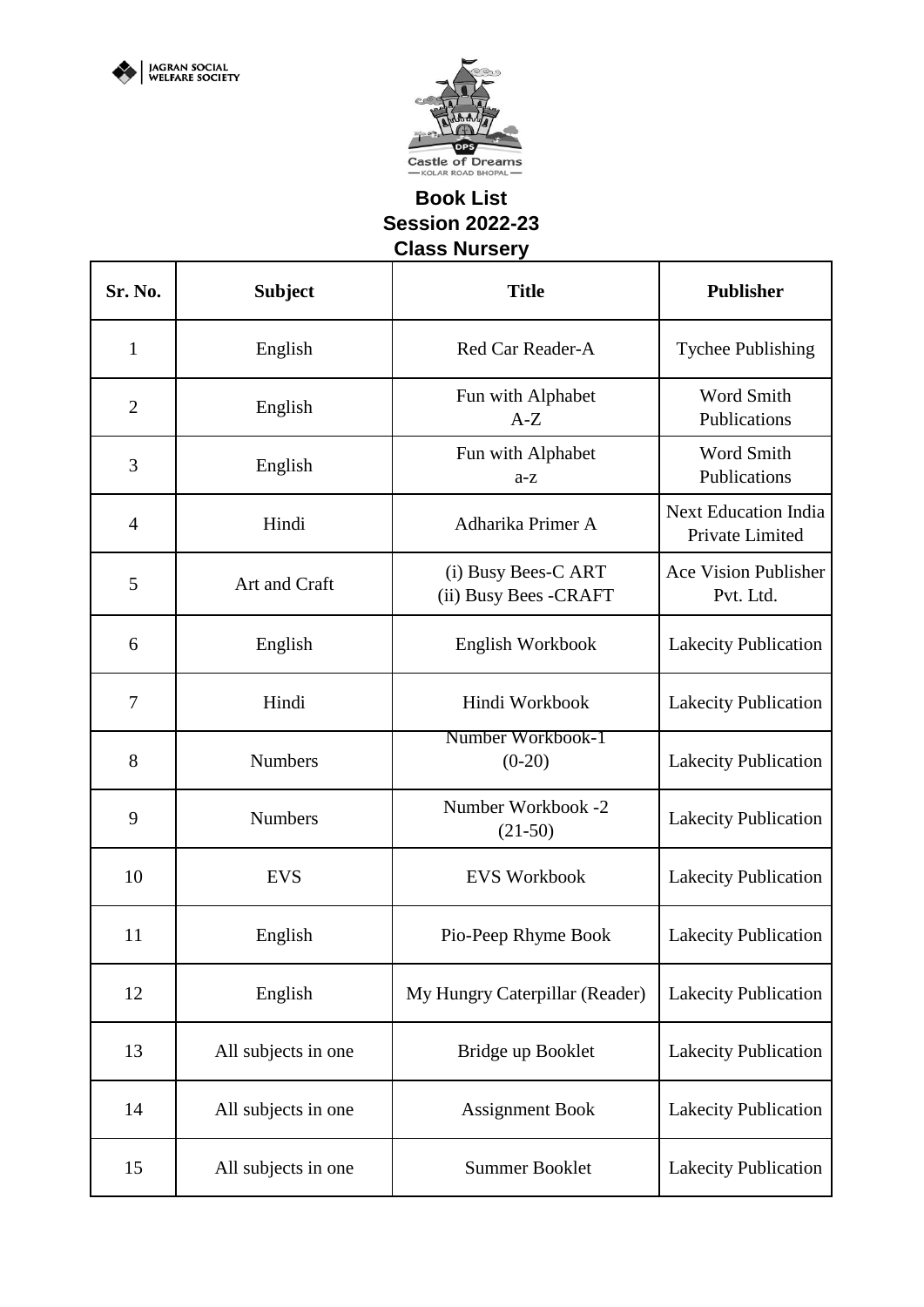

## **Book List Session 2022-23 Class Nursery**

| Sr. No.      | <b>Subject</b>      | <b>Title</b>                                 | <b>Publisher</b>                               |
|--------------|---------------------|----------------------------------------------|------------------------------------------------|
| $\mathbf{1}$ | English             | Red Car Reader-A                             | <b>Tychee Publishing</b>                       |
| $\mathbf{2}$ | English             | Fun with Alphabet<br>$A-Z$                   | Word Smith<br>Publications                     |
| 3            | English             | Fun with Alphabet<br>$a-z$                   | Word Smith<br>Publications                     |
| 4            | Hindi               | Adharika Primer A                            | <b>Next Education India</b><br>Private Limited |
| 5            | Art and Craft       | (i) Busy Bees-C ART<br>(ii) Busy Bees -CRAFT | <b>Ace Vision Publisher</b><br>Pvt. Ltd.       |
| 6            | English             | English Workbook                             | <b>Lakecity Publication</b>                    |
| 7            | Hindi               | Hindi Workbook                               | <b>Lakecity Publication</b>                    |
| 8            | <b>Numbers</b>      | Number Workbook-1<br>$(0-20)$                | <b>Lakecity Publication</b>                    |
| 9            | <b>Numbers</b>      | Number Workbook -2<br>$(21-50)$              | <b>Lakecity Publication</b>                    |
| 10           | <b>EVS</b>          | <b>EVS Workbook</b>                          | <b>Lakecity Publication</b>                    |
| 11           | English             | Pio-Peep Rhyme Book                          | Lakecity Publication                           |
| 12           | English             | My Hungry Caterpillar (Reader)               | <b>Lakecity Publication</b>                    |
| 13           | All subjects in one | Bridge up Booklet                            | <b>Lakecity Publication</b>                    |
| 14           | All subjects in one | <b>Assignment Book</b>                       | <b>Lakecity Publication</b>                    |
| 15           | All subjects in one | <b>Summer Booklet</b>                        | <b>Lakecity Publication</b>                    |